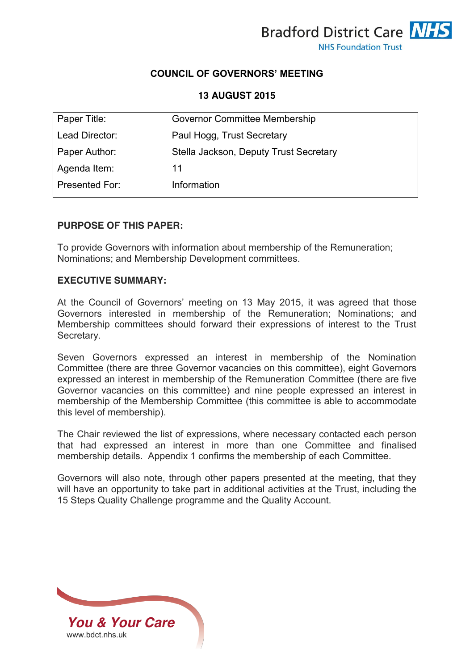

# **COUNCIL OF GOVERNORS' MEETING**

**13 AUGUST 2015**

| Paper Title:   | Governor Committee Membership          |
|----------------|----------------------------------------|
| Lead Director: | Paul Hogg, Trust Secretary             |
| Paper Author:  | Stella Jackson, Deputy Trust Secretary |
| Agenda Item:   | 11                                     |
| Presented For: | Information                            |

## **PURPOSE OF THIS PAPER:**

To provide Governors with information about membership of the Remuneration; Nominations; and Membership Development committees.

#### **EXECUTIVE SUMMARY:**

At the Council of Governors' meeting on 13 May 2015, it was agreed that those Governors interested in membership of the Remuneration; Nominations; and Membership committees should forward their expressions of interest to the Trust Secretary.

Seven Governors expressed an interest in membership of the Nomination Committee (there are three Governor vacancies on this committee), eight Governors expressed an interest in membership of the Remuneration Committee (there are five Governor vacancies on this committee) and nine people expressed an interest in membership of the Membership Committee (this committee is able to accommodate this level of membership).

The Chair reviewed the list of expressions, where necessary contacted each person that had expressed an interest in more than one Committee and finalised membership details. Appendix 1 confirms the membership of each Committee.

Governors will also note, through other papers presented at the meeting, that they will have an opportunity to take part in additional activities at the Trust, including the 15 Steps Quality Challenge programme and the Quality Account.

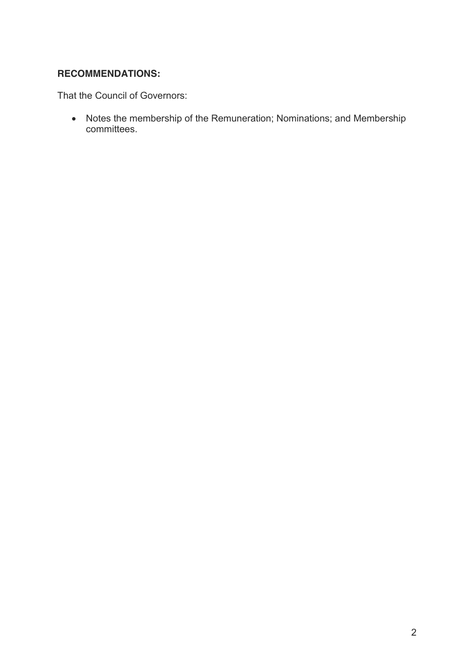# **RECOMMENDATIONS:**

That the Council of Governors:

• Notes the membership of the Remuneration; Nominations; and Membership committees.